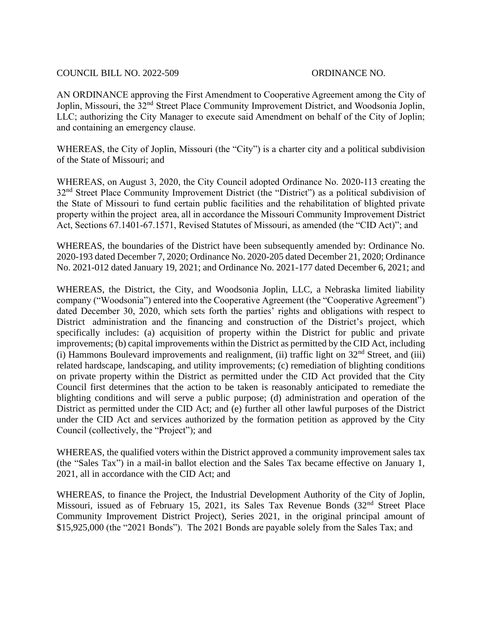## COUNCIL BILL NO. 2022-509 ORDINANCE NO.

AN ORDINANCE approving the First Amendment to Cooperative Agreement among the City of Joplin, Missouri, the 32<sup>nd</sup> Street Place Community Improvement District, and Woodsonia Joplin, LLC; authorizing the City Manager to execute said Amendment on behalf of the City of Joplin; and containing an emergency clause.

WHEREAS, the City of Joplin, Missouri (the "City") is a charter city and a political subdivision of the State of Missouri; and

WHEREAS, on August 3, 2020, the City Council adopted Ordinance No. 2020-113 creating the 32<sup>nd</sup> Street Place Community Improvement District (the "District") as a political subdivision of the State of Missouri to fund certain public facilities and the rehabilitation of blighted private property within the project area, all in accordance the Missouri Community Improvement District Act, Sections 67.1401-67.1571, Revised Statutes of Missouri, as amended (the "CID Act)"; and

WHEREAS, the boundaries of the District have been subsequently amended by: Ordinance No. 2020-193 dated December 7, 2020; Ordinance No. 2020-205 dated December 21, 2020; Ordinance No. 2021-012 dated January 19, 2021; and Ordinance No. 2021-177 dated December 6, 2021; and

WHEREAS, the District, the City, and Woodsonia Joplin, LLC, a Nebraska limited liability company ("Woodsonia") entered into the Cooperative Agreement (the "Cooperative Agreement") dated December 30, 2020, which sets forth the parties' rights and obligations with respect to District administration and the financing and construction of the District's project, which specifically includes: (a) acquisition of property within the District for public and private improvements; (b) capital improvements within the District as permitted by the CID Act, including (i) Hammons Boulevard improvements and realignment, (ii) traffic light on  $32<sup>nd</sup>$  Street, and (iii) related hardscape, landscaping, and utility improvements; (c) remediation of blighting conditions on private property within the District as permitted under the CID Act provided that the City Council first determines that the action to be taken is reasonably anticipated to remediate the blighting conditions and will serve a public purpose; (d) administration and operation of the District as permitted under the CID Act; and (e) further all other lawful purposes of the District under the CID Act and services authorized by the formation petition as approved by the City Council (collectively, the "Project"); and

WHEREAS, the qualified voters within the District approved a community improvement sales tax (the "Sales Tax") in a mail-in ballot election and the Sales Tax became effective on January 1, 2021, all in accordance with the CID Act; and

WHEREAS, to finance the Project, the Industrial Development Authority of the City of Joplin, Missouri, issued as of February 15, 2021, its Sales Tax Revenue Bonds (32<sup>nd</sup> Street Place Community Improvement District Project), Series 2021, in the original principal amount of \$15,925,000 (the "2021 Bonds"). The 2021 Bonds are payable solely from the Sales Tax; and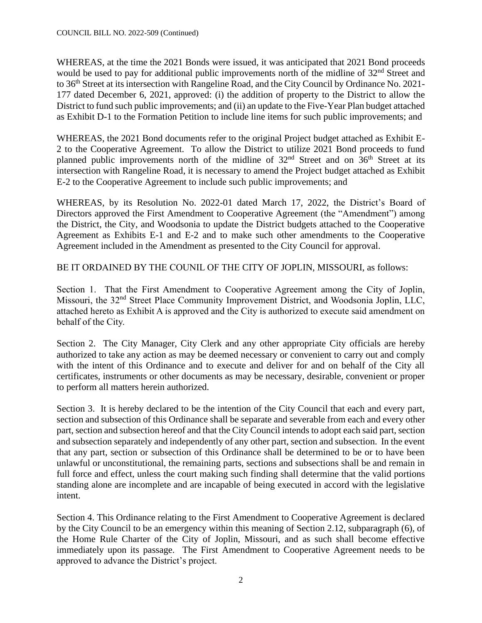WHEREAS, at the time the 2021 Bonds were issued, it was anticipated that 2021 Bond proceeds would be used to pay for additional public improvements north of the midline of  $32<sup>nd</sup>$  Street and to 36<sup>th</sup> Street at its intersection with Rangeline Road, and the City Council by Ordinance No. 2021-177 dated December 6, 2021, approved: (i) the addition of property to the District to allow the District to fund such public improvements; and (ii) an update to the Five-Year Plan budget attached as Exhibit D-1 to the Formation Petition to include line items for such public improvements; and

WHEREAS, the 2021 Bond documents refer to the original Project budget attached as Exhibit E-2 to the Cooperative Agreement. To allow the District to utilize 2021 Bond proceeds to fund planned public improvements north of the midline of 32<sup>nd</sup> Street and on 36<sup>th</sup> Street at its intersection with Rangeline Road, it is necessary to amend the Project budget attached as Exhibit E-2 to the Cooperative Agreement to include such public improvements; and

WHEREAS, by its Resolution No. 2022-01 dated March 17, 2022, the District's Board of Directors approved the First Amendment to Cooperative Agreement (the "Amendment") among the District, the City, and Woodsonia to update the District budgets attached to the Cooperative Agreement as Exhibits E-1 and E-2 and to make such other amendments to the Cooperative Agreement included in the Amendment as presented to the City Council for approval.

BE IT ORDAINED BY THE COUNIL OF THE CITY OF JOPLIN, MISSOURI, as follows:

Section 1. That the First Amendment to Cooperative Agreement among the City of Joplin, Missouri, the 32nd Street Place Community Improvement District, and Woodsonia Joplin, LLC, attached hereto as Exhibit A is approved and the City is authorized to execute said amendment on behalf of the City.

Section 2. The City Manager, City Clerk and any other appropriate City officials are hereby authorized to take any action as may be deemed necessary or convenient to carry out and comply with the intent of this Ordinance and to execute and deliver for and on behalf of the City all certificates, instruments or other documents as may be necessary, desirable, convenient or proper to perform all matters herein authorized.

Section 3. It is hereby declared to be the intention of the City Council that each and every part, section and subsection of this Ordinance shall be separate and severable from each and every other part, section and subsection hereof and that the City Council intends to adopt each said part, section and subsection separately and independently of any other part, section and subsection. In the event that any part, section or subsection of this Ordinance shall be determined to be or to have been unlawful or unconstitutional, the remaining parts, sections and subsections shall be and remain in full force and effect, unless the court making such finding shall determine that the valid portions standing alone are incomplete and are incapable of being executed in accord with the legislative intent.

Section 4. This Ordinance relating to the First Amendment to Cooperative Agreement is declared by the City Council to be an emergency within this meaning of Section 2.12, subparagraph (6), of the Home Rule Charter of the City of Joplin, Missouri, and as such shall become effective immediately upon its passage. The First Amendment to Cooperative Agreement needs to be approved to advance the District's project.